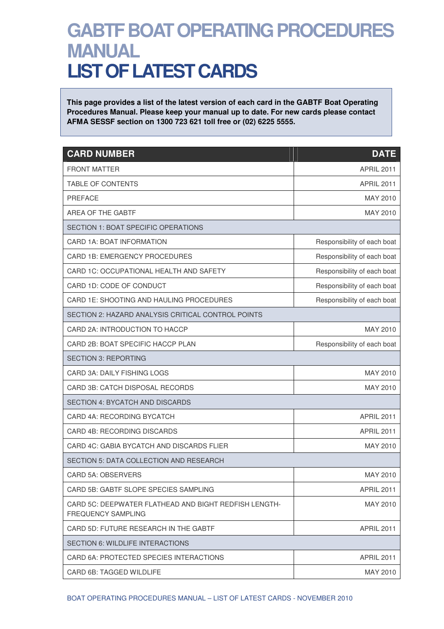## **GABTF BOAT OPERATING PROCEDURES MANUAL LIST OF LATEST CARDS**

**This page provides a list of the latest version of each card in the GABTF Boat Operating Procedures Manual. Please keep your manual up to date. For new cards please contact AFMA SESSF section on 1300 723 621 toll free or (02) 6225 5555.** 

| <b>CARD NUMBER</b>                                                                 | <b>DATE</b>                 |
|------------------------------------------------------------------------------------|-----------------------------|
| <b>FRONT MATTER</b>                                                                | <b>APRIL 2011</b>           |
| TABLE OF CONTENTS                                                                  | <b>APRIL 2011</b>           |
| PREFACE                                                                            | MAY 2010                    |
| <b>AREA OF THE GABTF</b>                                                           | MAY 2010                    |
| <b>SECTION 1: BOAT SPECIFIC OPERATIONS</b>                                         |                             |
| CARD 1A: BOAT INFORMATION                                                          | Responsibility of each boat |
| CARD 1B: EMERGENCY PROCEDURES                                                      | Responsibility of each boat |
| CARD 1C: OCCUPATIONAL HEALTH AND SAFETY                                            | Responsibility of each boat |
| CARD 1D: CODE OF CONDUCT                                                           | Responsibility of each boat |
| CARD 1E: SHOOTING AND HAULING PROCEDURES                                           | Responsibility of each boat |
| SECTION 2: HAZARD ANALYSIS CRITICAL CONTROL POINTS                                 |                             |
| CARD 2A: INTRODUCTION TO HACCP                                                     | MAY 2010                    |
| CARD 2B: BOAT SPECIFIC HACCP PLAN                                                  | Responsibility of each boat |
| <b>SECTION 3: REPORTING</b>                                                        |                             |
| CARD 3A: DAILY FISHING LOGS                                                        | MAY 2010                    |
| <b>CARD 3B: CATCH DISPOSAL RECORDS</b>                                             | MAY 2010                    |
| <b>SECTION 4: BYCATCH AND DISCARDS</b>                                             |                             |
| <b>CARD 4A: RECORDING BYCATCH</b>                                                  | <b>APRIL 2011</b>           |
| CARD 4B: RECORDING DISCARDS                                                        | <b>APRIL 2011</b>           |
| CARD 4C: GABIA BYCATCH AND DISCARDS FLIER                                          | MAY 2010                    |
| SECTION 5: DATA COLLECTION AND RESEARCH                                            |                             |
| <b>CARD 5A: OBSERVERS</b>                                                          | MAY 2010                    |
| CARD 5B: GABTF SLOPE SPECIES SAMPLING                                              | <b>APRIL 2011</b>           |
| CARD 5C: DEEPWATER FLATHEAD AND BIGHT REDFISH LENGTH-<br><b>FREQUENCY SAMPLING</b> | MAY 2010                    |
| CARD 5D: FUTURE RESEARCH IN THE GABTF                                              | <b>APRIL 2011</b>           |
| SECTION 6: WILDLIFE INTERACTIONS                                                   |                             |
| CARD 6A: PROTECTED SPECIES INTERACTIONS                                            | <b>APRIL 2011</b>           |
| CARD 6B: TAGGED WILDLIFE                                                           | MAY 2010                    |